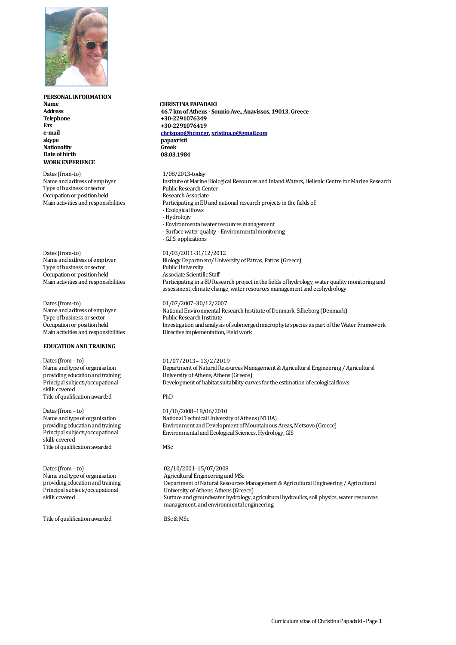

# **PERSONAL INFORMATION Name**

**Address Telephone Fax e-mail skype Nationality Date of birth WORK EXPERIENCE**

Dates (from-to) Name and address of employer Type of business or sector Occupation or position held Main activities and responsibilities

Dates (from-to) Name and address of employer Type of business or sector Occupation or position held Main activities and responsibilities

Dates (from-to) Name and address of employer Type of business or sector Occupation or position held Main activities and responsibilities

# **EDUCATION ANDTRAINING**

Dates (from – to) Name and type of organisation providing education and training Principal subjects/occupational skills covered Title of qualification awarded

Dates (from – to) Name and type of organisation providing education and training Principal subjects/occupational skills covered Title of qualification awarded

Dates (from – to) Name and type of organisation providing education and training Principal subjects/occupational skills covered

Title of qualification awarded

## **CHRISTINA PAPADAKI**

 **46.7 km of Athens - Sounio Ave., Anavissos, 19013, Greece +30-2291076349 +30-2291076419 [chrispap@hcmr.gr,](mailto:chrispap@hcmr.gr) [xristina.p@gmail.com](mailto:xristina.p@gmail.com) papaxristi Greek 08.03.1984**

#### 1/08/2013-today

- Institute of Marine Biological Resources and Inland Waters, Hellenic Centre for Marine Research Public Research Center Research Associate Participating in EU and national research projects in the fields of: -Ecological flows -Hydrology
- -Environmental water resources management
- Surface water quality Environmental monitoring
- -G.I.S. applications

### 01/03/2011-31/12/2012

Biology Department/ University of Patras, Patras (Greece) Public University Associate Scientific Staff Participating in a EU Research project in the fields of hydrology, water quality monitoring and assessment, climate change, water resources management and ecohydrology

#### 01/07/2007–30/12/2007

National Environmental Research Institute of Denmark, Silkeborg (Denmark) Public Research Institute Investigation and analysis of submerged macrophyte species as part of the Water Framework Directive implementation, Field work

#### 01/07/2013– 13/2/2019

Department of Natural Resources Management & Agricultural Engineering / Agricultural University of Athens, Athens (Greece) Development of habitat suitability curves for the estimation of ecological flows

#### PhD

01/10/2008–18/06/2010 National Technical University of Athens (NTUA) Environment and Development of Mountainous Areas, Metsovo (Greece) Environmental and Ecological Sciences, Hydrology, GIS

## MSc

02/10/2001–15/07/2008 Agricultural Engineering and MSc Department of Natural Resources Management & Agricultural Engineering / Agricultural University of Athens, Athens (Greece) Surface and groundwater hydrology, agricultural hydraulics, soil physics, water resources management, and environmental engineering

BSc&MSc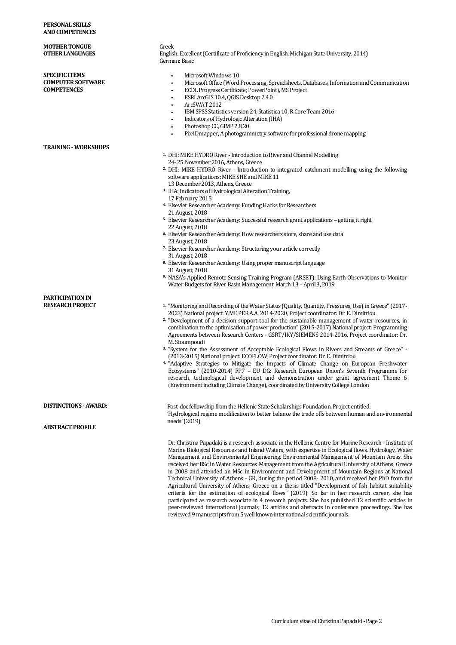| PERSONAL SKILLS<br><b>AND COMPETENCES</b>                               |                                                                                                                                                                                                                                                                                                                                                                                                                                                                                                                                                                                                                                                                                                                                                                                                                                                                                                                                                                                                                                                                                                                      |
|-------------------------------------------------------------------------|----------------------------------------------------------------------------------------------------------------------------------------------------------------------------------------------------------------------------------------------------------------------------------------------------------------------------------------------------------------------------------------------------------------------------------------------------------------------------------------------------------------------------------------------------------------------------------------------------------------------------------------------------------------------------------------------------------------------------------------------------------------------------------------------------------------------------------------------------------------------------------------------------------------------------------------------------------------------------------------------------------------------------------------------------------------------------------------------------------------------|
| <b>MOTHER TONGUE</b><br><b>OTHER LANGUAGES</b>                          | Greek<br>English: Excellent (Certificate of Proficiency in English, Michigan State University, 2014)<br>German: Basic                                                                                                                                                                                                                                                                                                                                                                                                                                                                                                                                                                                                                                                                                                                                                                                                                                                                                                                                                                                                |
| <b>SPECIFIC ITEMS</b><br><b>COMPUTER SOFTWARE</b><br><b>COMPETENCES</b> | Microsoft Windows 10<br>$\bullet$<br>Microsoft Office (Word Processing, Spreadsheets, Databases, Information and Communication<br>ECDL Progress Certificate; PowerPoint), MS Project<br>ESRI ArcGIS 10.4, QGIS Desktop 2.4.0<br>ArcSWAT 2012<br>IBM SPSS Statistics version 24, Statistica 10, R Core Team 2016<br>Indicators of Hydrologic Alteration (IHA)<br>Photoshop CC, GIMP 2.8.20<br>$\bullet$<br>Pix4Dmapper, A photogrammetry software for professional drone mapping                                                                                                                                                                                                                                                                                                                                                                                                                                                                                                                                                                                                                                      |
| <b>TRAINING - WORKSHOPS</b>                                             | <sup>1</sup> DHI: MIKE HYDRO River - Introduction to River and Channel Modelling<br>24-25 November 2016, Athens, Greece<br><sup>2</sup> DHI: MIKE HYDRO River - Introduction to integrated catchment modelling using the following<br>software applications: MIKE SHE and MIKE 11<br>13 December 2013, Athens, Greece<br><sup>3</sup> IHA: Indicators of Hydrological Alteration Training,<br>17 February 2015<br><sup>4.</sup> Elsevier Researcher Academy: Funding Hacks for Researchers<br>21 August, 2018<br><sup>5</sup> Elsevier Researcher Academy: Successful research grant applications - getting it right<br>22 August, 2018<br><sup>6.</sup> Elsevier Researcher Academy: How researchers store, share and use data<br>23 August, 2018<br>7. Elsevier Researcher Academy: Structuring your article correctly<br>31 August, 2018<br><sup>8</sup> Elsevier Researcher Academy: Using proper manuscript language<br>31 August, 2018<br>9. NASA's Applied Remote Sensing Training Program (ARSET): Using Earth Observations to Monitor<br>Water Budgets for River Basin Management, March 13 - April 3, 2019 |
| <b>PARTICIPATION IN</b><br><b>RESEARCH PROJECT</b>                      | <sup>1</sup> "Monitoring and Recording of the Water Status (Quality, Quantity, Pressures, Use) in Greece" (2017-<br>2023) National project: Y.ME.PER.A.A. 2014-2020, Project coordinator: Dr. E. Dimitriou<br><sup>2</sup> "Development of a decision support tool for the sustainable management of water resources, in<br>combination to the optimisation of power production" (2015-2017) National project: Programming<br>Agreements between Research Centers - GSRT/IKY/SIEMENS 2014-2016, Project coordinator: Dr.<br>M. Stoumpoudi<br>3. "System for the Assessment of Acceptable Ecological Flows in Rivers and Streams of Greece" -<br>(2013-2015) National project: ECOFLOW, Project coordinator: Dr. E. Dimitriou<br><sup>4.</sup> "Adaptive Strategies to Mitigate the Impacts of Climate Change on European Freshwater<br>Ecosystems" (2010-2014) FP7 - EU DG: Research European Union's Seventh Programme for<br>research, technological development and demonstration under grant agreement Theme 6<br>(Environment including Climate Change), coordinated by University College London               |
| <b>DISTINCTIONS - AWARD:</b>                                            | Post-doc fellowship from the Hellenic State Scholarships Foundation. Project entitled:<br>'Hydrological regime modification to better balance the trade offs between human and environmental<br>needs' (2019)                                                                                                                                                                                                                                                                                                                                                                                                                                                                                                                                                                                                                                                                                                                                                                                                                                                                                                        |
| <b>ABSTRACT PROFILE</b>                                                 | Dr. Christina Papadaki is a research associate in the Hellenic Centre for Marine Research - Institute of<br>Marine Biological Resources and Inland Waters, with expertise in Ecological flows, Hydrology, Water<br>Management and Environmental Engineering, Environmental Management of Mountain Areas. She<br>received her BSc in Water Resources Management from the Agricultural University of Athens, Greece<br>in 2008 and attended an MSc in Environment and Development of Mountain Regions at National<br>Technical University of Athens - GR, during the period 2008- 2010, and received her PhD from the                                                                                                                                                                                                                                                                                                                                                                                                                                                                                                  |
|                                                                         | Agricultural University of Athens, Greece on a thesis titled "Development of fish habitat suitability<br>criteria for the estimation of ecological flows" (2019). So far in her research career, she has<br>participated as research associate in 4 research projects. She has published 12 scientific articles in<br>peer-reviewed international journals, 12 articles and abstracts in conference proceedings. She has                                                                                                                                                                                                                                                                                                                                                                                                                                                                                                                                                                                                                                                                                             |

reviewed 9 manuscripts from 5 well known international scientific journals.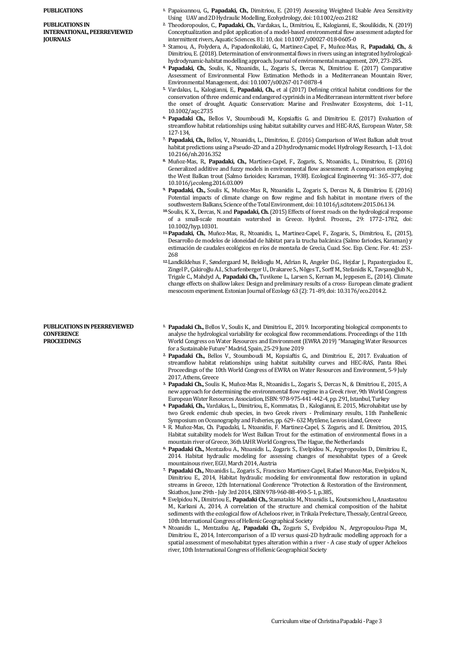#### **PUBLICATIONS**

**PUBLICATIONS IN INTERNATIONAL, PEERREVIEWED JOURNALS**

- **1.** Papaioannou, G., **Papadaki, Ch.**, Dimitriou, E. (2019) Assessing Weighted Usable Area Sensitivity Using UAV and 2D Hydraulic Modelling, Ecohydrology, doi: 10.1002/eco.2182
- **2.** Theodoropoulos, C., **Papadaki, Ch.**, Vardakas, L., Dimitriou, E., Kalogianni, E., Skoulikidis, N. (2019) Conceptualization and pilot application of a model-based environmental flow assessment adapted for intermittent rivers, Aquatic Sciences. 81: 10, doi: 10.1007/s00027-018-0605-0
- **3.** Stamou, A., Polydera, A., Papadonikolaki, G., Martinez-Capel, F., Muñoz-Mas, R., **Papadaki, Ch.**, & Dimitriou, E. (2018). Determination of environmental flows in rivers using an integrated hydrologicalhydrodynamic-habitat modelling approach. Journal of environmental management, 209, 273-285.
- **4. Papadaki, Ch.**, Soulis, K., Ntoanidis, L., Zogaris S., Dercas N., Dimitriou E. (2017) Comparative Assessment of Environmental Flow Estimation Methods in a Mediterranean Mountain River, Environmental Management., doi: 10.1007/s00267-017-0878-4
- **5.** Vardakas, L., Kalogianni, E., **Papadaki, Ch.,** et al (2017) Defining critical habitat conditions for the conservation of three endemic and endangered cyprinids in a Mediterranean intermittent river before the onset of drought. Aquatic Conservation: Marine and Freshwater Ecosystems, doi: 1–11, 10.1002/aqc.2735
- **6. Papadaki Ch.,** Bellos V., Stoumboudi M., Kopsiaftis G. and Dimitriou E. (2017) Evaluation of streamflow habitat relationships using habitat suitability curves and HEC-RAS, European Water, 58: 127-134,
- **7. Papadaki, Ch.,** Bellos, V., Ntoanidis, L., Dimitriou, E. (2016) Comparison of West Balkan adult trout habitat predictions using a Pseudo-2D and a 2D hydrodynamic model. Hydrology Research, 1–13, doi: 10.2166/nh.2016.352
- **8.** Muñoz-Mas, R., **Papadaki, Ch.,** Martínez-Capel, F., Zogaris, S., Ntoanidis, L., Dimitriou, E. (2016) Generalized additive and fuzzy models in environmental flow assessment: A comparison employing the West Balkan trout (Salmo farioides; Karaman, 1938). Ecological Engineering 91: 365–377, doi: 10.1016/j.ecoleng.2016.03.009
- **9. Papadaki, Ch.,** Soulis K., Muñoz-Mas R., Ntoanidis L., Zogaris S., Dercas N., & Dimitriou E. (2016) Potential impacts of climate change on flow regime and fish habitat in montane rivers of the southwestern Balkans, Science of the Total Environment, doi: 10.1016/j.scitotenv.2015.06.134.
- **10.**Soulis, K. X., Dercas, N. and **Papadaki, Ch.**(2015) Effects of forest roads on the hydrological response of a small-scale mountain watershed in Greece. Hydrol. Process., 29: 1772–1782, doi: 10.1002/hyp.10301.
- **11.Papadaki, Ch.**, Muñoz-Mas, R., Ntoanidis, L., Martinez-Capel, F., Zogaris, S., Dimitriou, E., (2015), Desarrollo de modelos de idoneidad de hábitat para la trucha balcánica (Salmo fariodes, Karaman) y estimación de caudales ecológicos en ríos de montaña de Grecia, Cuad. Soc. Esp. Cienc. For. 41: 253- 268
- **12.**Landkildehus F., Søndergaard M., Beklioglu M., Adrian R., Angeler D.G., Hejzlar J., Papastergiadou E., Zingel P., Çakiroğlu A.I., Scharfenberger U., Drakaree S., Nõges T., Sorff M., Stefanidis K., Tavşanoğlub N., Trigale C., Mahdyd A., **Papadaki Ch.,** Tuvikene L., Larsen S., Kernan M., Jeppesen E., (2014). Climate change effects on shallow lakes: Design and preliminary results of a cross- European climate gradient mesocosm experiment. Estonian Journal of Ecology 63 (2): 71–89, doi: 10.3176/eco.2014.2.

#### **PUBLICATIONS IN PEERREVIEWED CONFERENCE PROCEEDINGS**

- **1. Papadaki Ch.,** Bellos V., Soulis K., and Dimitriou E., 2019. Incorporating biological components to analyse the hydrological variability for ecological flow recommendations. Proceedings of the 11th World Congress on Water Resources and Environment (EWRA 2019) "Managing Water Resources for a Sustainable Future" Madrid, Spain, 25-29 June 2019
- **2. Papadaki Ch.,** Bellos V., Stoumboudi M., Kopsiaftis G., and Dimitriou E., 2017. Evaluation of streamflow habitat relationships using habitat suitability curves and HEC-RAS, Panta Rhei. Proceedings of the 10th World Congress of EWRA on Water Resources and Environment, 5-9 July 2017, Athens, Greece
- **3. Papadaki Ch.,** Soulis K., Muñoz-Mas R., Ntoanidis L., Zogaris S., Dercas N., & Dimitriou E., 2015, A new approach for determining the environmental flow regime in a Greek river, 9th World Congress European Water Resources Association, ISBN: 978-975-441-442-4, pp. 291, Istanbul, Turkey
- **4. Papadaki, Ch.,** Vardakas, L., Dimitriou, E., Kommatas, D. , Kalogianni, E. 2015, Μicrohabitat use by two Greek endemic chub species, in two Greek rivers - Preliminary results, 11th Panhellenic Symposium on Oceanography and Fisheries, pp. 629- 632 Mytilene, Lesvos island, Greece
- **5.** R. Muñoz-Mas, Ch. Papadaki, L. Ntoanidis, F. Martinez-Capel, S. Zogaris, and E. Dimitriou, 2015, Habitat suitability models for West Balkan Trout for the estimation of environmental flows in a mountain river of Greece, 36th IAHR World Congress, The Hague, the Netherlands
- **6. Papadaki Ch.,** Mentzafou A., Ntoanidis L., Zogaris S., Evelpidou N., Argyropoulos D., Dimitriou E., 2014. Habitat hydraulic modeling for assessing changes of mesohabitat types of a Greek mountainous river, EGU, March 2014, Austria
- **7. Papadaki Ch.,** Ntoanidis L., Zogaris S., Francisco Martinez-Capel, Rafael Munoz-Mas, Evelpidou N., Dimitriou E., 2014, Habitat hydraulic modeling for environmental flow restoration in upland streams in Greece, 12th International Conference "Protection & Restoration of the Environment, Skiathos, June 29th - July 3rd 2014, ISBN 978-960-88-490-5-1, p.385,
- **8.** Evelpidou N., Dimitriou E., **Papadaki Ch.,** Stamatakis M., Ntoanidis L., Koutsomichou I., Anastasatou M., Karkani A., 2014, A correlation of the structure and chemical composition of the habitat sediments with the ecological flow of Acheloos river, in Trikala Prefecture, Thessaly, Central Greece, 10th International Congress of Hellenic Geographical Society
- **9.** Ntoanidis L., Mentzafou Ag., **Papadaki Ch.,** Zogaris S., Evelpidou N., Argyropoulou-Papa M., Dimitriou E., 2014, Intercomparison of a ID versus quasi-2D hydraulic modelling approach for a spatial assessment of mesohabitat types alteration within a river - A case study of upper Acheloos river, 10th International Congress of Hellenic Geographical Society